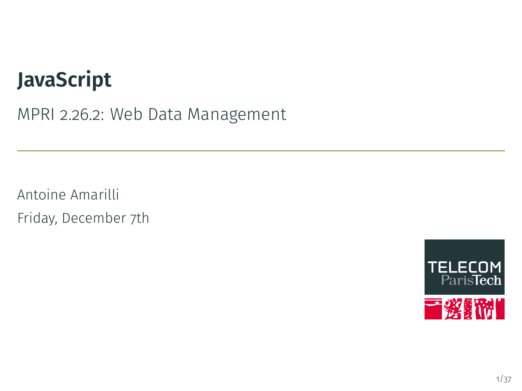# **JavaScript**

MPRI 2.26.2: Web Data Management

Antoine Amarilli Friday, December 7th

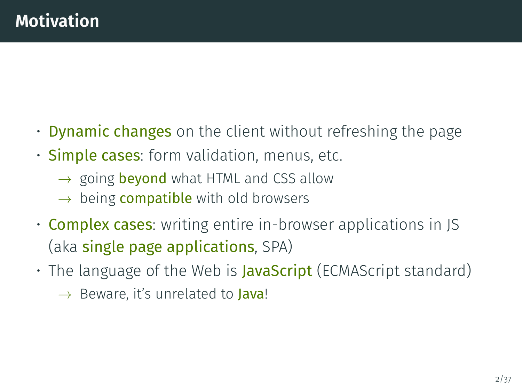- <span id="page-1-0"></span>• Dynamic changes on the client without refreshing the page
- **Simple cases**: form validation, menus, etc.
	- $\rightarrow$  going **beyond** what HTML and CSS allow
	- $\rightarrow$  being **compatible** with old browsers
- **Complex cases**: writing entire in-browser applications in JS (aka single page applications, SPA)
- The language of the Web is **JavaScript** (ECMAScript standard)
	- $\rightarrow$  Beware, it's unrelated to **Java!**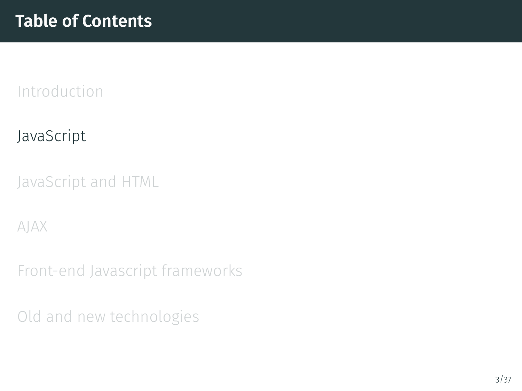## <span id="page-2-0"></span>[JavaScript](#page-2-0)

[JavaScript and HTML](#page-9-0)

[AJAX](#page-18-0)

[Front-end Javascript frameworks](#page-23-0)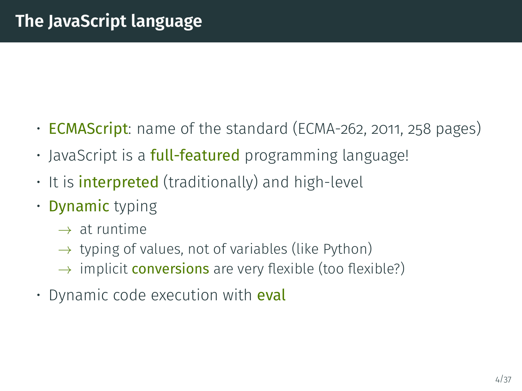- **ECMAScript**: name of the standard (ECMA-262, 2011, 258 pages)
- JavaScript is a **full-featured** programming language!
- $\cdot$  It is **interpreted** (traditionally) and high-level
- Dynamic typing
	- $\rightarrow$  at runtime
	- $\rightarrow$  typing of values, not of variables (like Python)
	- $\rightarrow$  implicit **conversions** are very flexible (too flexible?)
- Dynamic code execution with **eval**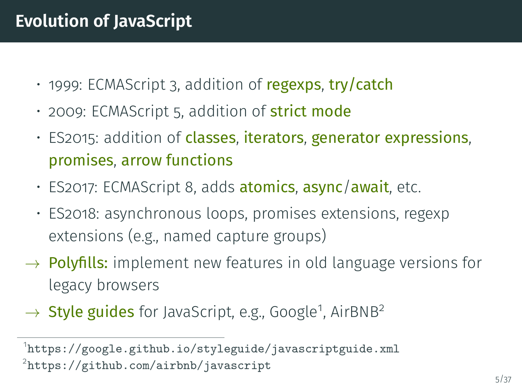- 1999: ECMAScript 3, addition of regexps, try/catch
- 2009: ECMAScript 5, addition of **strict mode**
- ES2015: addition of classes, iterators, generator expressions, promises, arrow functions
- ES2017: ECMAScript 8, adds atomics, async/await, etc.
- ES2018: asynchronous loops, promises extensions, regexp extensions (e.g., named capture groups)
- $\rightarrow$  Polyfills: implement new features in old language versions for legacy browsers
- → Style guides for JavaScript, e.g., Google<sup>1</sup>, AirBNB<sup>2</sup>

<sup>1</sup> <https://google.github.io/styleguide/javascriptguide.xml> 2 <https://github.com/airbnb/javascript>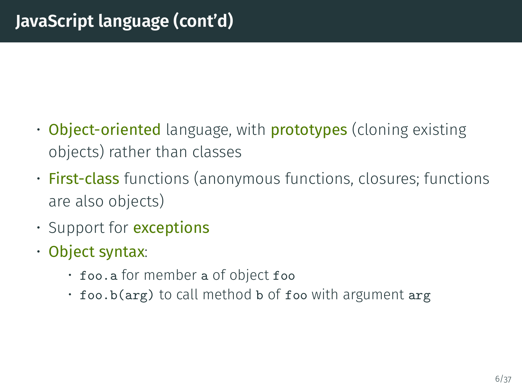- Object-oriented language, with **prototypes** (cloning existing objects) rather than classes
- **First-class** functions (anonymous functions, closures; functions are also objects)
- Support for **exceptions**
- Object syntax:
	- foo.a for member a of object foo
	- $\cdot$  foo.b(arg) to call method b of foo with argument arg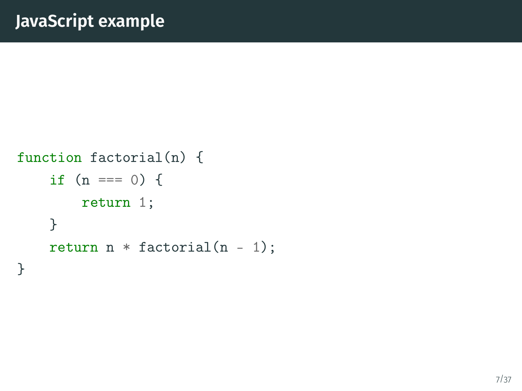```
function factorial(n) {
    if (n == 0) {
        return 1;
    }
    return n * factorial(n - 1);
}
```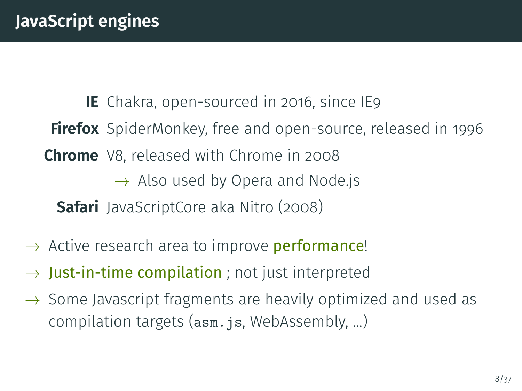**IE** Chakra, open-sourced in 2016, since IE9 **Firefox** SpiderMonkey, free and open-source, released in 1996 **Chrome** V8, released with Chrome in 2008  $\rightarrow$  Also used by Opera and Node.js **Safari** JavaScriptCore aka Nitro (2008)

- $\rightarrow$  Active research area to improve **performance!**
- $\rightarrow$  Just-in-time compilation ; not just interpreted
- $\rightarrow$  Some Javascript fragments are heavily optimized and used as compilation targets (asm. js, WebAssembly, ...)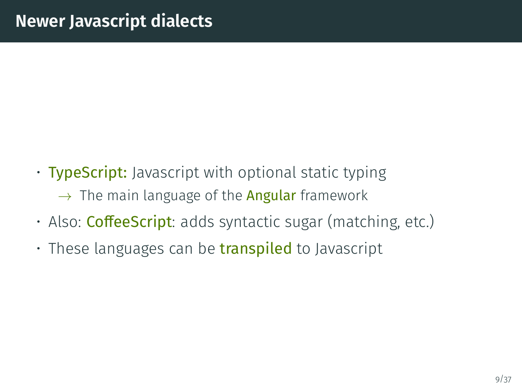- TypeScript: Javascript with optional static typing  $\rightarrow$  The main language of the **Angular** framework
- Also: **CoffeeScript**: adds syntactic sugar (matching, etc.)
- $\cdot$  These languages can be **transpiled** to Javascript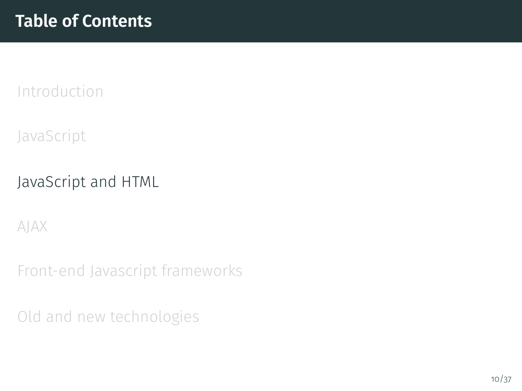<span id="page-9-0"></span>[JavaScript](#page-2-0)

#### [JavaScript and HTML](#page-9-0)

[AJAX](#page-18-0)

[Front-end Javascript frameworks](#page-23-0)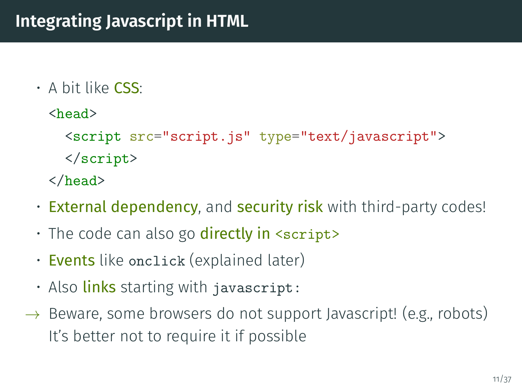- $\cdot$  A bit like CSS $\cdot$ 
	- <head>

```
<script src="script.js" type="text/javascript">
</script>
```
- </head>
- External dependency, and security risk with third-party codes!
- $\cdot$  The code can also go **directly in** <script>
- **Events** like onclick (explained later)
- Also **links** starting with javascript:
- $\rightarrow$  Beware, some browsers do not support Javascript! (e.g., robots) It's better not to require it if possible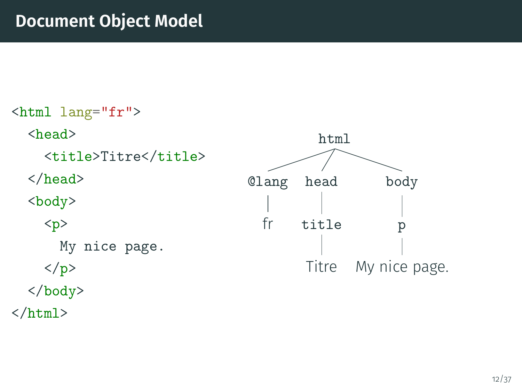#### **Document Object Model**

<html lang="fr"> <head> <title>Titre</title> </head> <body> <p> My nice page.  $\langle p \rangle$ </body>  $\langle$ /html $\rangle$ html body p My nice page. head title Titre @lang fr

12/37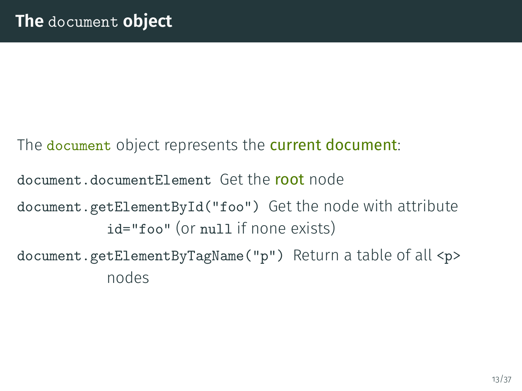The document object represents the current document:

document.documentElement Get the root node

document.getElementById("foo") Get the node with attribute id="foo" (or null if none exists)

document.getElementByTagName("p") Return a table of all <p> nodes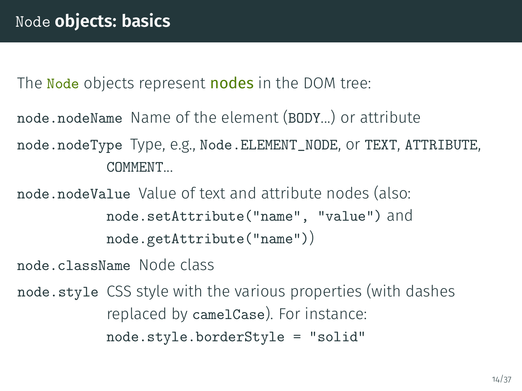The Node objects represent nodes in the DOM tree:

node.nodeName Name of the element (BODY...) or attribute

node.nodeType Type, e.g., Node.ELEMENT\_NODE, or TEXT, ATTRIBUTE, COMMENT...

node.nodeValue Value of text and attribute nodes (also: node.setAttribute("name", "value") and node.getAttribute("name"))

node.className Node class

node.style CSS style with the various properties (with dashes replaced by camelCase). For instance: node.style.borderStyle = "solid"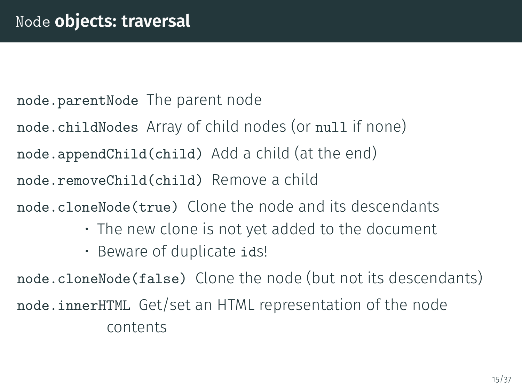node.parentNode The parent node

node.childNodes Array of child nodes (or null if none)

node.appendChild(child) Add a child (at the end)

node.removeChild(child) Remove a child

node.cloneNode(true) Clone the node and its descendants

- The new clone is not yet added to the document
- Beware of duplicate ids!

node.cloneNode(false) Clone the node (but not its descendants) node.innerHTML Get/set an HTML representation of the node contents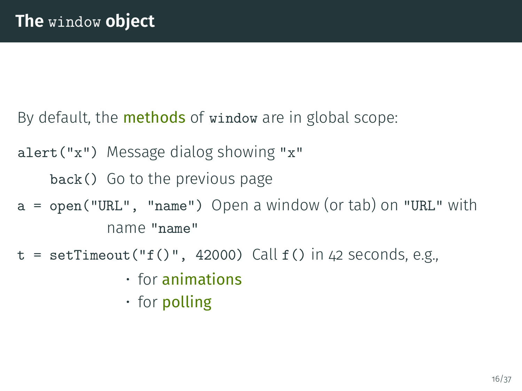By default, the **methods** of window are in global scope:

alert("x") Message dialog showing "x"

back() Go to the previous page

- a = open("URL", "name") Open a window (or tab) on "URL" with name "name"
- $t = setTimeout("f()", 42000)$  Call  $f()$  in 42 seconds, e.g.,
	- $\cdot$  for animations
	- for polling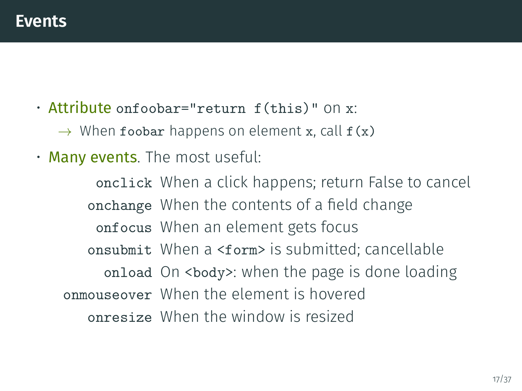- Attribute onfoobar="return f(this)" on x:
	- $\rightarrow$  When foobar happens on element x, call  $f(x)$
- Many events. The most useful:

onclick When a click happens; return False to cancel onchange When the contents of a field change onfocus When an element gets focus onsubmit When a <form> is submitted; cancellable onload On <br/>body>: when the page is done loading onmouseover When the element is hovered onresize When the window is resized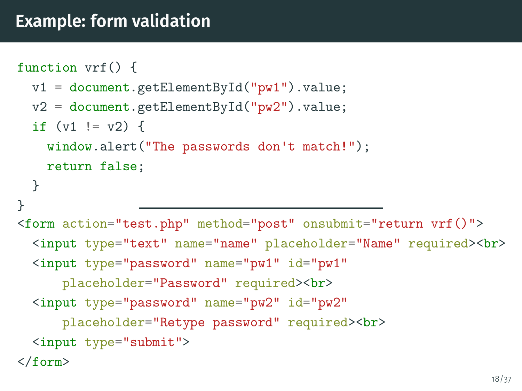```
function vrf() {
  v1 = document.getElementById("pw1") .value;v2 = document.getElementById("pw2") . value;if (v1 := v2) {
    window.alert("The passwords don't match!");
    return false;
 }
}
<form action="test.php" method="post" onsubmit="return vrf()">
  <input type="text" name="name" placeholder="Name" required><br>
  <input type="password" name="pw1" id="pw1"
      placeholder="Password" required><br>
  <input type="password" name="pw2" id="pw2"
      placeholder="Retype password" required><br>
  <input type="submit">
</form>
```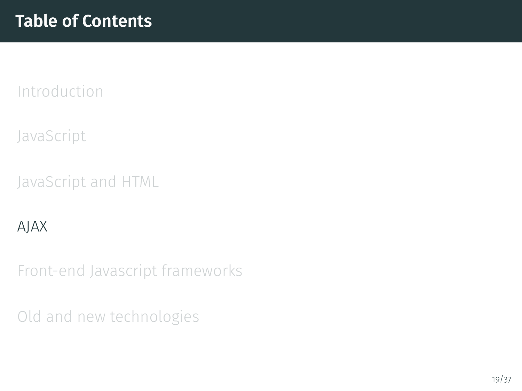<span id="page-18-0"></span>[JavaScript](#page-2-0)

[JavaScript and HTML](#page-9-0)

#### [AJAX](#page-18-0)

[Front-end Javascript frameworks](#page-23-0)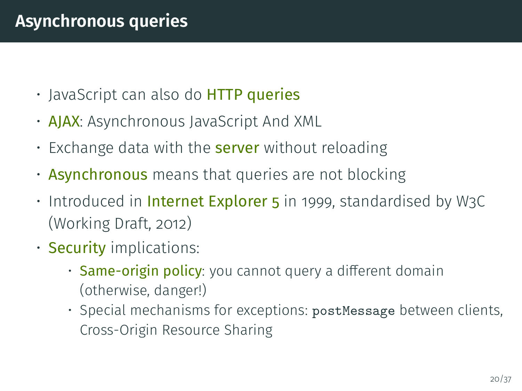## **Asynchronous queries**

- JavaScript can also do **HTTP queries**
- AJAX: Asynchronous JavaScript And XML
- Exchange data with the **server** without reloading
- **Asynchronous** means that queries are not blocking
- $\cdot$  Introduced in Internet Explorer 5 in 1999, standardised by W3C (Working Draft, 2012)
- **Security** implications:
	- Same-origin policy: you cannot query a different domain (otherwise, danger!)
	- Special mechanisms for exceptions: postMessage between clients, Cross-Origin Resource Sharing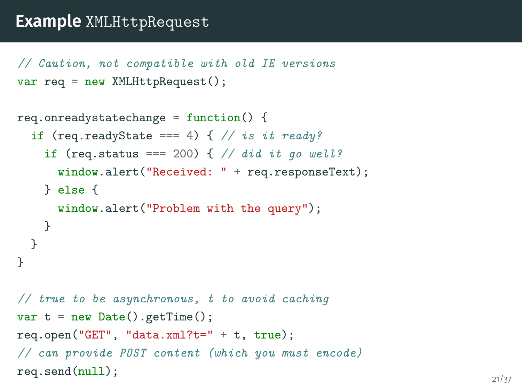#### **Example** XMLHttpRequest

```
// Caution, not compatible with old IE versions
var req = new XMLHttpRequest();
```

```
req.onreadystatechange = function() \{if (req.readyState === 4) { // is it ready?
   if (req.status === 200) { // did it go well?
     window.alert("Received: " + req.responseText);
   } else {
     window.alert("Problem with the query");
   }
 }
}
// true to be asynchronous, t to avoid caching
var t = new Date().getTime();
req.open("GET", "data.xml?t=" + t, true);
// can provide POST content (which you must encode)
req.\text{send}(\text{null}); 21/37
```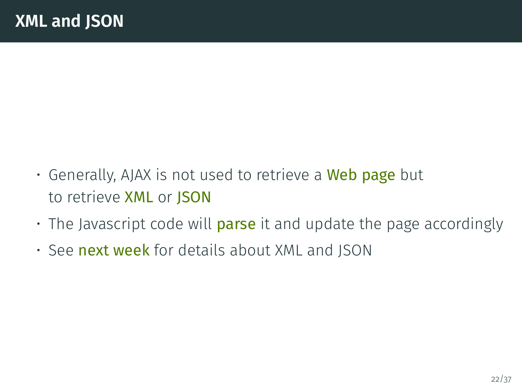- Generally, AJAX is not used to retrieve a **Web page** but to retrieve XML or JSON
- $\cdot$  The Javascript code will **parse** it and update the page accordingly
- See next week for details about XML and JSON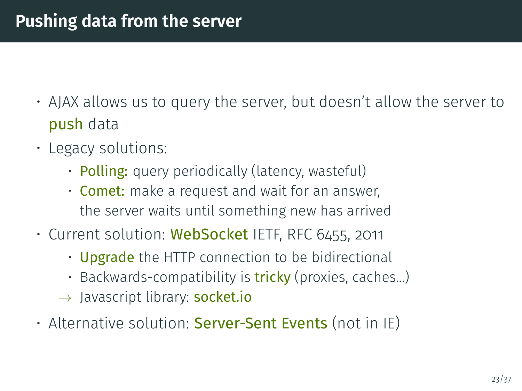- AJAX allows us to query the server, but doesn't allow the server to push data
- Legacy solutions:
	- Polling: query periodically (latency, wasteful)
	- Comet: make a request and wait for an answer, the server waits until something new has arrived
- Current solution: WebSocket IETF, RFC 6455, 2011
	- Upgrade the HTTP connection to be bidirectional
	- Backwards-compatibility is **tricky** (proxies, caches...)
	- $\rightarrow$  Javascript library: socket.io
- Alternative solution: Server-Sent Events (not in IE)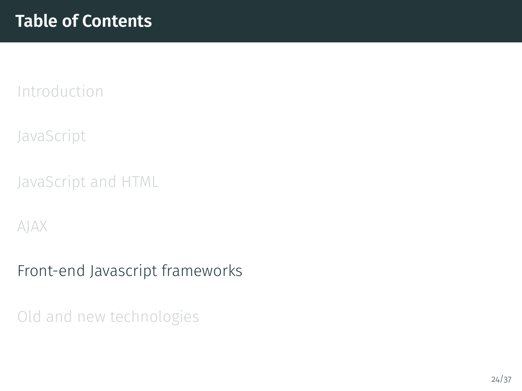<span id="page-23-0"></span>[JavaScript](#page-2-0)

[JavaScript and HTML](#page-9-0)

[AJAX](#page-18-0)

[Front-end Javascript frameworks](#page-23-0)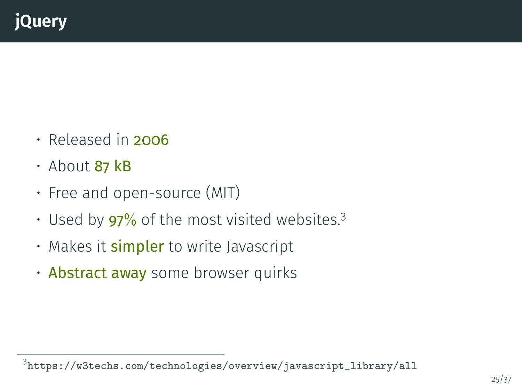- $\cdot$  Released in 2006
- About 87 kB
- Free and open-source (MIT)
- Used by  $97\%$  of the most visited websites.<sup>3</sup>
- Makes it **simpler** to write Javascript
- Abstract away some browser quirks

 $^3$ [https://w3techs.com/technologies/overview/javascript\\_library/all](https://w3techs.com/technologies/overview/javascript_library/all)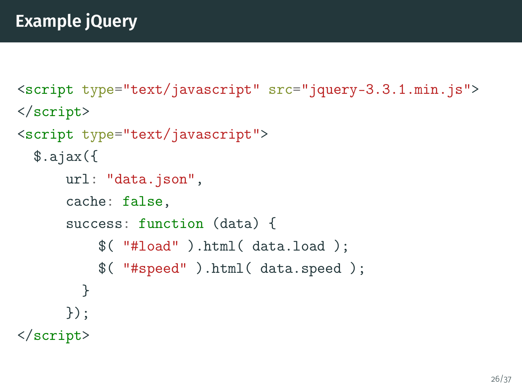```
<script type="text/javascript" src="jquery-3.3.1.min.js">
</script>
<script type="text/javascript">
  \text{3.ajax}({}url: "data.json",
      cache: false,
      success: function (data) {
          $( "#load" ).html( data.load );
          $( "#speed" ).html( data.speed );
        }
      });
</script>
```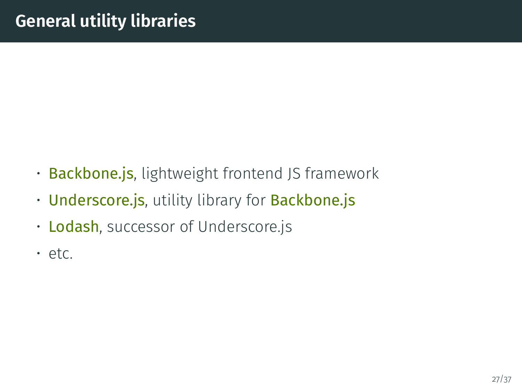- Backbone.js, lightweight frontend JS framework
- Underscore.js, utility library for Backbone.js
- Lodash, successor of Underscore.js
- etc.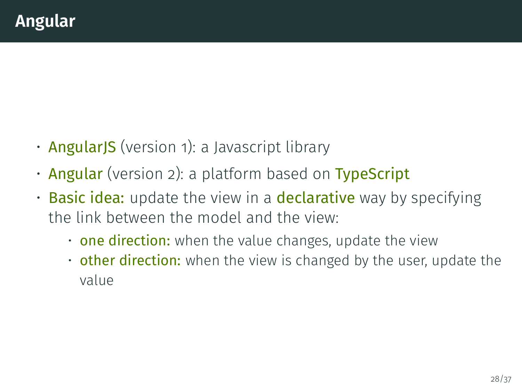- **AngularJS** (version 1): a Javascript library
- Angular (version 2): a platform based on TypeScript
- Basic idea: update the view in a declarative way by specifying the link between the model and the view:
	- one direction: when the value changes, update the view
	- $\cdot$  other direction: when the view is changed by the user, update the value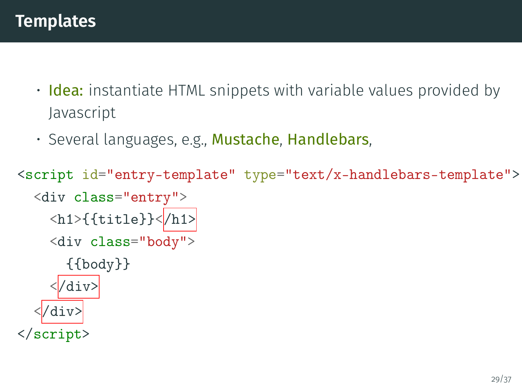- **Idea:** instantiate HTML snippets with variable values provided by Javascript
- · Several languages, e.g., Mustache, Handlebars,

```
<script id="entry-template" type="text/x-handlebars-template">
  <div class="entry">
    \langle h1\rangle{{title}}\langle h1\rangle<div class="body">
       {{body}}
      </div>
    </div>
</script>
```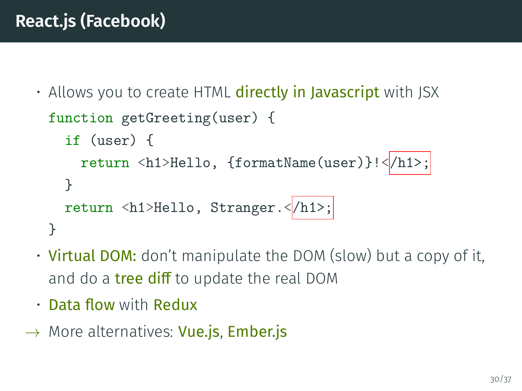• Allows you to create HTML directly in Javascript with JSX

```
function getGreeting(user) {
  if (user) {
    return <h1>Hello, {formatName(user)}!</h1>;
  }
  return <h1>Hello, Stranger.<|/h1>;
}
```
- **Virtual DOM:** don't manipulate the DOM (slow) but a copy of it, and do a **tree diff** to update the real DOM
- $\cdot$  Data flow with Redux
- $\rightarrow$  More alternatives: Vue.js, Ember.js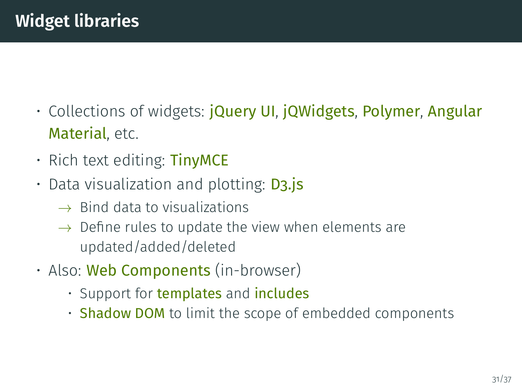- Collections of widgets: **jQuery UI, jQWidgets, Polymer, Angular** Material, etc.
- Rich text editing: TinyMCE
- Data visualization and plotting: **D3.js** 
	- $\rightarrow$  Bind data to visualizations
	- $\rightarrow$  Define rules to update the view when elements are updated/added/deleted
- Also: Web Components (in-browser)
	- Support for **templates** and **includes**
	- Shadow DOM to limit the scope of embedded components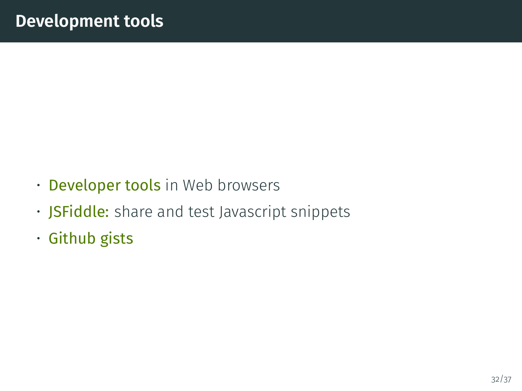- Developer tools in Web browsers
- **JSFiddle:** share and test Javascript snippets
- Github gists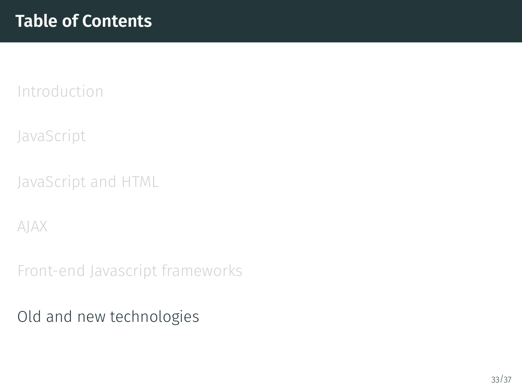<span id="page-32-0"></span>[JavaScript](#page-2-0)

[JavaScript and HTML](#page-9-0)

[AJAX](#page-18-0)

[Front-end Javascript frameworks](#page-23-0)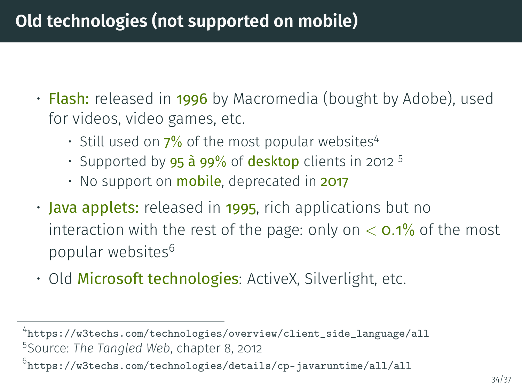# **Old technologies (not supported on mobile)**

- **Flash:** released in 1996 by Macromedia (bought by Adobe), used for videos, video games, etc.
	- Still used on  $7\%$  of the most popular websites<sup>4</sup>
	- Supported by  $95$   $\dot{a}$   $99\%$  of desktop clients in 2012 <sup>5</sup>
	- $\cdot$  No support on **mobile**, deprecated in 2017
- **Java applets:** released in 1995, rich applications but no interaction with the rest of the page: only on  $<$  0.1% of the most popular websites<sup>6</sup>
- Old Microsoft technologies: ActiveX, Silverlight, etc.

 $^4$ [https://w3techs.com/technologies/overview/client\\_side\\_language/all](https://w3techs.com/technologies/overview/client_side_language/all) 5 Source: *The Tangled Web*, chapter 8, 2012

 $^6$ <https://w3techs.com/technologies/details/cp-javaruntime/all/all>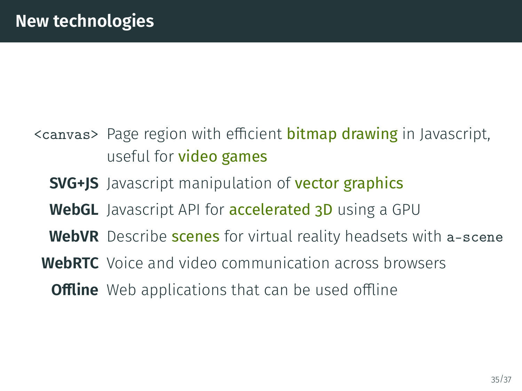- <canvas> Page region with efficient **bitmap drawing** in Javascript, useful for video games
	- **SVG+JS** Javascript manipulation of **vector graphics**
	- **WebGL** Javascript API for accelerated 3D using a GPU
	- **WebVR** Describe **scenes** for virtual reality headsets with a-scene
	- **WebRTC** Voice and video communication across browsers
		- **Offline** Web applications that can be used offline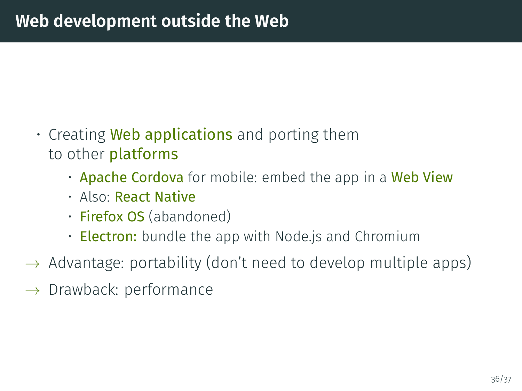- Creating **Web applications** and porting them to other platforms
	- Apache Cordova for mobile: embed the app in a Web View
	- Also: React Native
	- Firefox OS (abandoned)
	- **Electron:** bundle the app with Node.js and Chromium
- $\rightarrow$  Advantage: portability (don't need to develop multiple apps)
- $\rightarrow$  Drawback: performance